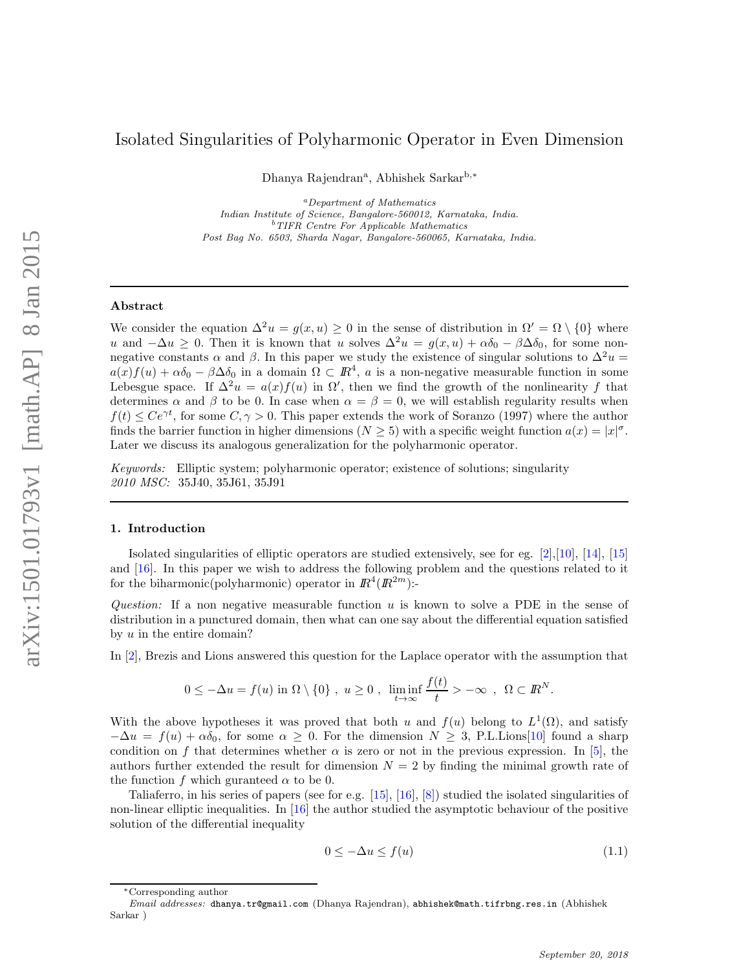# Isolated Singularities of Polyharmonic Operator in Even Dimension

Dhanya Rajendran<sup>a</sup>, Abhishek Sarkar<sup>b,∗</sup>

<sup>a</sup>*Department of Mathematics Indian Institute of Science, Bangalore-560012, Karnataka, India.* <sup>b</sup>*TIFR Centre For Applicable Mathematics Post Bag No. 6503, Sharda Nagar, Bangalore-560065, Karnataka, India.*

### Abstract

We consider the equation  $\Delta^2 u = g(x, u) \geq 0$  in the sense of distribution in  $\Omega' = \Omega \setminus \{0\}$  where u and  $-\Delta u \geq 0$ . Then it is known that u solves  $\Delta^2 u = g(x, u) + \alpha \delta_0 - \beta \Delta \delta_0$ , for some nonnegative constants  $\alpha$  and  $\beta$ . In this paper we study the existence of singular solutions to  $\Delta^2 u =$  $a(x)f(u) + \alpha \delta_0 - \beta \Delta \delta_0$  in a domain  $\Omega \subset \mathbb{R}^4$ , a is a non-negative measurable function in some Lebesgue space. If  $\Delta^2 u = a(x)f(u)$  in  $\Omega'$ , then we find the growth of the nonlinearity f that determines  $\alpha$  and  $\beta$  to be 0. In case when  $\alpha = \beta = 0$ , we will establish regularity results when  $f(t) \le Ce^{\gamma t}$ , for some  $C, \gamma > 0$ . This paper extends the work of Soranzo (1997) where the author finds the barrier function in higher dimensions  $(N \ge 5)$  with a specific weight function  $a(x) = |x|^{\sigma}$ . Later we discuss its analogous generalization for the polyharmonic operator.

*Keywords:* Elliptic system; polyharmonic operator; existence of solutions; singularity *2010 MSC:* 35J40, 35J61, 35J91

#### 1. Introduction

Isolated singularities of elliptic operators are studied extensively, see for eg. [2],[10], [14], [15] and [16]. In this paper we wish to address the following problem and the questions related to it for the biharmonic(polyharmonic) operator in  $\mathbb{R}^4(\mathbb{R}^{2m})$ :-

*Question:* If a non negative measurable function u is known to solve a PDE in the sense of distribution in a punctured domain, then what can one say about the differential equation satisfied by  $u$  in the entire domain?

In [2], Brezis and Lions answered this question for the Laplace operator with the assumption that

$$
0 \leq -\Delta u = f(u) \text{ in } \Omega \setminus \{0\} , u \geq 0 , \liminf_{t \to \infty} \frac{f(t)}{t} > -\infty , \Omega \subset \mathbb{R}^N.
$$

With the above hypotheses it was proved that both u and  $f(u)$  belong to  $L^1(\Omega)$ , and satisfy  $-\Delta u = f(u) + \alpha \delta_0$ , for some  $\alpha \geq 0$ . For the dimension  $N \geq 3$ , P.L.Lions[10] found a sharp condition on f that determines whether  $\alpha$  is zero or not in the previous expression. In [5], the authors further extended the result for dimension  $N = 2$  by finding the minimal growth rate of the function f which guranteed  $\alpha$  to be 0.

Taliaferro, in his series of papers (see for e.g. [15], [16], [8]) studied the isolated singularities of non-linear elliptic inequalities. In  $[16]$  the author studied the asymptotic behaviour of the positive solution of the differential inequality

$$
0 \le -\Delta u \le f(u) \tag{1.1}
$$

<sup>∗</sup>Corresponding author

*Email addresses:* dhanya.tr@gmail.com (Dhanya Rajendran), abhishek@math.tifrbng.res.in (Abhishek Sarkar )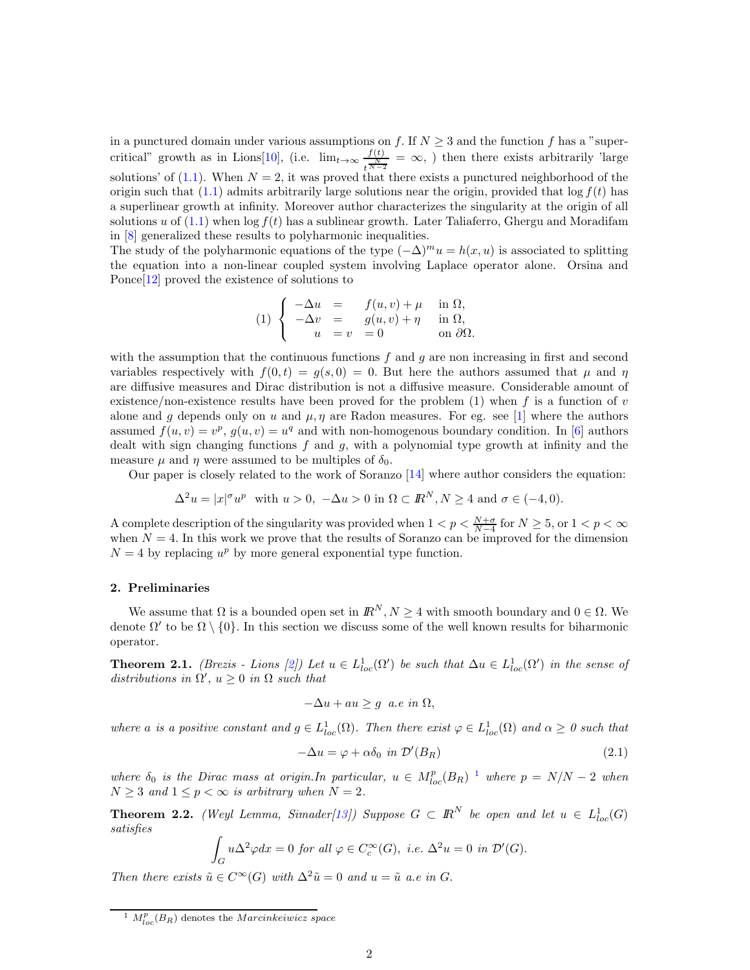in a punctured domain under various assumptions on f. If  $N \geq 3$  and the function f has a "supercritical" growth as in Lions[10], (i.e.  $\lim_{t\to\infty} \frac{f(t)}{t}$  $\frac{f(t)}{t^{\frac{N}{N-2}}} = \infty$ , then there exists arbitrarily 'large solutions' of (1.1). When  $N = 2$ , it was proved that there exists a punctured neighborhood of the origin such that  $(1.1)$  admits arbitrarily large solutions near the origin, provided that  $\log f(t)$  has a superlinear growth at infinity. Moreover author characterizes the singularity at the origin of all solutions u of  $(1.1)$  when  $\log f(t)$  has a sublinear growth. Later Taliaferro, Ghergu and Moradifam in [8] generalized these results to polyharmonic inequalities.

The study of the polyharmonic equations of the type  $(-\Delta)^mu = h(x, u)$  is associated to splitting the equation into a non-linear coupled system involving Laplace operator alone. Orsina and Ponce[12] proved the existence of solutions to

(1) 
$$
\begin{cases}\n-\Delta u = f(u, v) + \mu & \text{in } \Omega, \\
-\Delta v = g(u, v) + \eta & \text{in } \Omega, \\
u = v = 0 & \text{on } \partial\Omega.\n\end{cases}
$$

with the assumption that the continuous functions  $f$  and  $g$  are non increasing in first and second variables respectively with  $f(0, t) = g(s, 0) = 0$ . But here the authors assumed that  $\mu$  and  $\eta$ are diffusive measures and Dirac distribution is not a diffusive measure. Considerable amount of existence/non-existence results have been proved for the problem (1) when f is a function of v alone and g depends only on u and  $\mu$ ,  $\eta$  are Radon measures. For eg. see [1] where the authors assumed  $f(u, v) = v^p$ ,  $g(u, v) = u^q$  and with non-homogenous boundary condition. In [6] authors dealt with sign changing functions  $f$  and  $g$ , with a polynomial type growth at infinity and the measure  $\mu$  and  $\eta$  were assumed to be multiples of  $\delta_0$ .

Our paper is closely related to the work of Soranzo [14] where author considers the equation:

$$
\Delta^2 u = |x|^{\sigma} u^p \text{ with } u > 0, \ -\Delta u > 0 \text{ in } \Omega \subset \mathbb{R}^N, N \ge 4 \text{ and } \sigma \in (-4, 0).
$$

A complete description of the singularity was provided when  $1 < p < \frac{N+\sigma}{N-4}$  for  $N \ge 5$ , or  $1 < p < \infty$ when  $N = 4$ . In this work we prove that the results of Soranzo can be improved for the dimension  $N = 4$  by replacing  $u^p$  by more general exponential type function.

### 2. Preliminaries

We assume that  $\Omega$  is a bounded open set in  $\mathbb{R}^N$ ,  $N \geq 4$  with smooth boundary and  $0 \in \Omega$ . We denote  $\Omega'$  to be  $\Omega \setminus \{0\}$ . In this section we discuss some of the well known results for biharmonic operator.

**Theorem 2.1.** *(Brezis - Lions [2])* Let  $u \in L^1_{loc}(\Omega')$  be such that  $\Delta u \in L^1_{loc}(\Omega')$  in the sense of  $distributions in \Omega', u \geq 0 in \Omega such that$ 

$$
-\Delta u + au \ge g \ a.e \ in \ \Omega,
$$

where a is a positive constant and  $g \in L^1_{loc}(\Omega)$ . Then there exist  $\varphi \in L^1_{loc}(\Omega)$  and  $\alpha \geq 0$  such that

$$
-\Delta u = \varphi + \alpha \delta_0 \text{ in } \mathcal{D}'(B_R) \tag{2.1}
$$

*where*  $\delta_0$  *is the Dirac mass at origin.In particular,*  $u \in M_{loc}^p(B_R)^{-1}$  *where*  $p = N/N - 2$  *when*  $N \geq 3$  *and*  $1 \leq p < \infty$  *is arbitrary when*  $N = 2$ *.* 

**Theorem 2.2.** *(Weyl Lemma, Simader*[13]) Suppose  $G \subset \mathbb{R}^N$  be open and let  $u \in L^1_{loc}(G)$ *satisfies*

$$
\int_G u\Delta^2\varphi dx = 0 \text{ for all } \varphi \in C_c^{\infty}(G), \text{ i.e. } \Delta^2 u = 0 \text{ in } \mathcal{D}'(G).
$$

*Then there exists*  $\tilde{u} \in C^{\infty}(G)$  *with*  $\Delta^2 \tilde{u} = 0$  *and*  $u = \tilde{u}$  *a.e in G*.

<sup>&</sup>lt;sup>1</sup>  $M_{loc}^p(B_R)$  denotes the *Marcinkeiwicz space*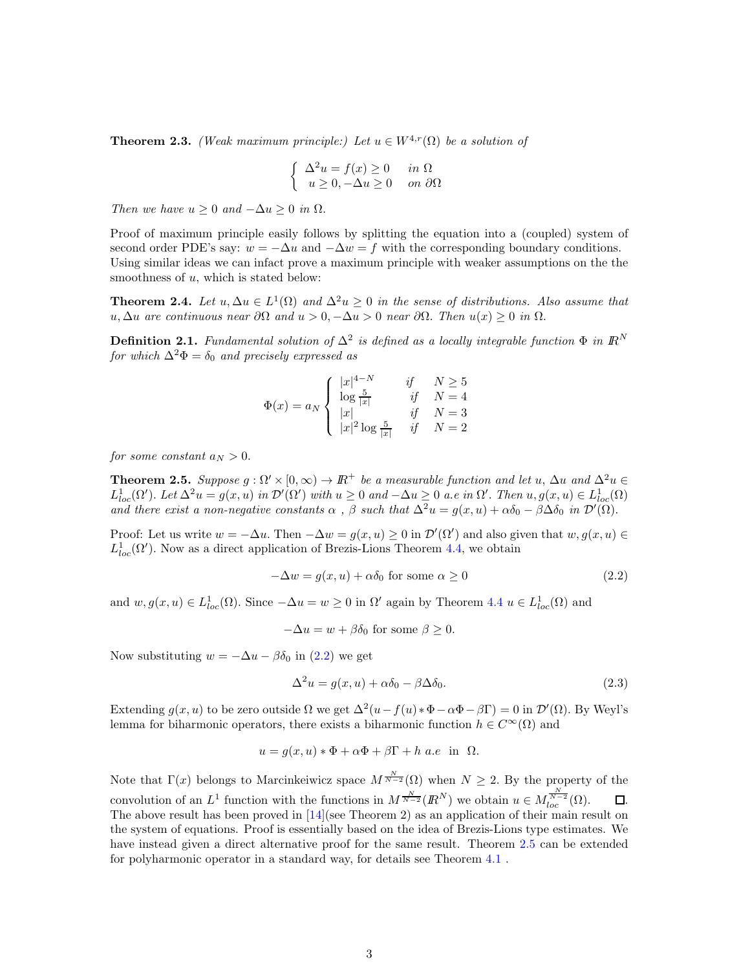**Theorem 2.3.** *(Weak maximum principle:) Let*  $u \in W^{4,r}(\Omega)$  *be a solution of* 

$$
\begin{cases} \Delta^2 u = f(x) \ge 0 & \text{in } \Omega \\ u \ge 0, -\Delta u \ge 0 & \text{on } \partial\Omega \end{cases}
$$

*Then we have*  $u \geq 0$  *and*  $-\Delta u \geq 0$  *in*  $\Omega$ *.* 

Proof of maximum principle easily follows by splitting the equation into a (coupled) system of second order PDE's say:  $w = -\Delta u$  and  $-\Delta w = f$  with the corresponding boundary conditions. Using similar ideas we can infact prove a maximum principle with weaker assumptions on the the smoothness of  $u$ , which is stated below:

**Theorem 2.4.** Let  $u, \Delta u \in L^1(\Omega)$  and  $\Delta^2 u \geq 0$  in the sense of distributions. Also assume that u, ∆u *are continuous near* ∂Ω *and* u > 0, −∆u > 0 *near* ∂Ω. *Then* u(x) ≥ 0 *in* Ω.

**Definition 2.1.** *Fundamental solution of*  $\Delta^2$  *is defined as a locally integrable function*  $\Phi$  *in*  $\mathbb{R}^N$ *for which*  $\Delta^2 \Phi = \delta_0$  *and precisely expressed as* 

$$
\Phi(x) = a_N \begin{cases} |x|^{4-N} & \text{if} \quad N \ge 5\\ \log \frac{5}{|x|} & \text{if} \quad N = 4\\ |x| & \text{if} \quad N = 3\\ |x|^2 \log \frac{5}{|x|} & \text{if} \quad N = 2 \end{cases}
$$

*for some constant*  $a_N > 0$ .

**Theorem 2.5.** Suppose  $g : \Omega' \times [0, \infty) \to \mathbb{R}^+$  be a measurable function and let u,  $\Delta u$  and  $\Delta^2 u \in$  $L^1_{loc}(\Omega')$ . Let  $\Delta^2 u = g(x, u)$  in  $\mathcal{D}'(\Omega')$  with  $u \geq 0$  and  $-\Delta u \geq 0$  a.e in  $\Omega'$ . Then  $u, g(x, u) \in L^1_{loc}(\Omega)$ *and there exist a non-negative constants*  $\alpha$ ,  $\beta$  *such that*  $\Delta^2 u = g(x, u) + \alpha \delta_0 - \beta \Delta \delta_0$  *in*  $\mathcal{D}'(\Omega)$ .

Proof: Let us write  $w = -\Delta u$ . Then  $-\Delta w = g(x, u) \geq 0$  in  $\mathcal{D}'(\Omega')$  and also given that  $w, g(x, u) \in$  $L^1_{loc}(\Omega')$ . Now as a direct application of Brezis-Lions Theorem 4.4, we obtain

$$
-\Delta w = g(x, u) + \alpha \delta_0 \text{ for some } \alpha \ge 0
$$
\n(2.2)

and  $w, g(x, u) \in L^1_{loc}(\Omega)$ . Since  $-\Delta u = w \geq 0$  in  $\Omega'$  again by Theorem 4.4  $u \in L^1_{loc}(\Omega)$  and

$$
-\Delta u = w + \beta \delta_0 \text{ for some } \beta \ge 0.
$$

Now substituting  $w = -\Delta u - \beta \delta_0$  in (2.2) we get

$$
\Delta^2 u = g(x, u) + \alpha \delta_0 - \beta \Delta \delta_0. \tag{2.3}
$$

Extending  $g(x, u)$  to be zero outside  $\Omega$  we get  $\Delta^2(u - f(u) * \Phi - \alpha \Phi - \beta \Gamma) = 0$  in  $\mathcal{D}'(\Omega)$ . By Weyl's lemma for biharmonic operators, there exists a biharmonic function  $h \in C^{\infty}(\Omega)$  and

$$
u = g(x, u) * \Phi + \alpha \Phi + \beta \Gamma + h \ a.e \ \text{in} \ \Omega.
$$

Note that  $\Gamma(x)$  belongs to Marcinkeiwicz space  $M^{\frac{N}{N-2}}(\Omega)$  when  $N \geq 2$ . By the property of the convolution of an  $L^1$  function with the functions in  $M^{\frac{N}{N-2}}(I\!\!R^N)$  we obtain  $u \in M^{\frac{N}{N-2}}_{loc}(\Omega)$ .  $\Box$ . The above result has been proved in [14](see Theorem 2) as an application of their main result on the system of equations. Proof is essentially based on the idea of Brezis-Lions type estimates. We have instead given a direct alternative proof for the same result. Theorem 2.5 can be extended for polyharmonic operator in a standard way, for details see Theorem 4.1 .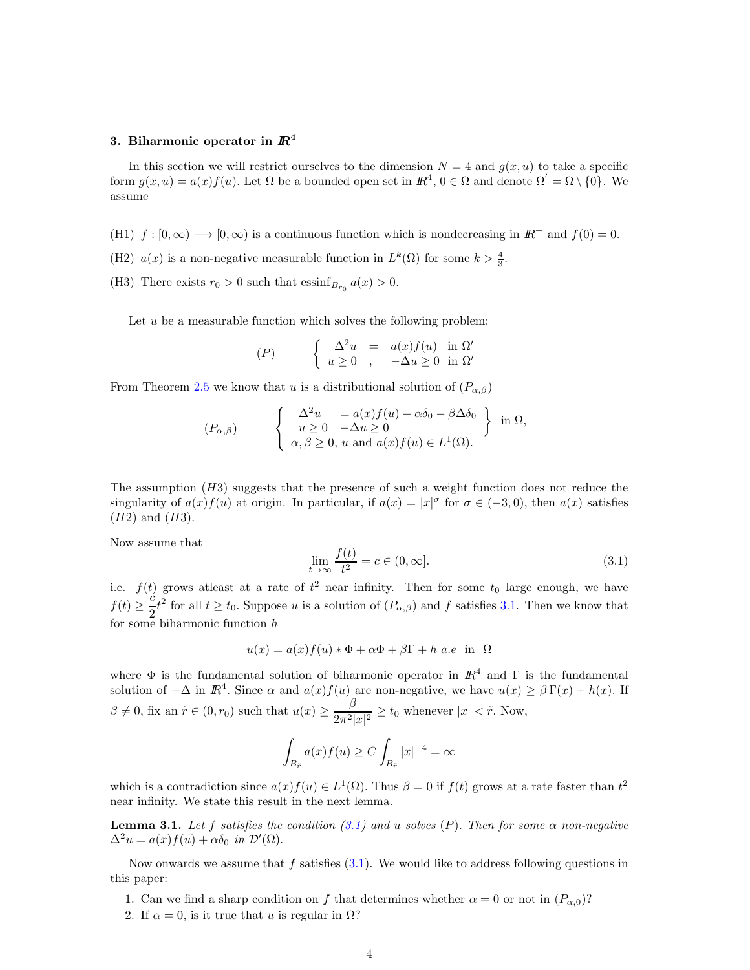## 3. Biharmonic operator in  $I\!\!R^4$

In this section we will restrict ourselves to the dimension  $N = 4$  and  $g(x, u)$  to take a specific form  $g(x, u) = a(x) f(u)$ . Let  $\Omega$  be a bounded open set in  $\mathbb{R}^4$ ,  $0 \in \Omega$  and denote  $\Omega' = \Omega \setminus \{0\}$ . We assume

- (H1)  $f : [0, \infty) \longrightarrow [0, \infty)$  is a continuous function which is nondecreasing in  $\mathbb{R}^+$  and  $f(0) = 0$ .
- (H2)  $a(x)$  is a non-negative measurable function in  $L^k(\Omega)$  for some  $k > \frac{4}{3}$ .
- (H3) There exists  $r_0 > 0$  such that  $\operatorname{essinf}_{B_{r_0}} a(x) > 0$ .

Let  $u$  be a measurable function which solves the following problem:

$$
(P) \qquad \begin{cases} \Delta^2 u = a(x)f(u) & \text{in } \Omega' \\ u \ge 0, & -\Delta u \ge 0 \text{ in } \Omega' \end{cases}
$$

From Theorem 2.5 we know that u is a distributional solution of  $(P_{\alpha,\beta})$ 

$$
(P_{\alpha,\beta}) \qquad \begin{cases} \Delta^2 u = a(x)f(u) + \alpha \delta_0 - \beta \Delta \delta_0 \\ u \ge 0 & -\Delta u \ge 0 \\ \alpha, \beta \ge 0, u \text{ and } a(x)f(u) \in L^1(\Omega). \end{cases} \text{ in } \Omega,
$$

The assumption  $(H3)$  suggests that the presence of such a weight function does not reduce the singularity of  $a(x) f(u)$  at origin. In particular, if  $a(x) = |x|^{\sigma}$  for  $\sigma \in (-3,0)$ , then  $a(x)$  satisfies  $(H2)$  and  $(H3)$ .

Now assume that

$$
\lim_{t \to \infty} \frac{f(t)}{t^2} = c \in (0, \infty].
$$
\n(3.1)

i.e.  $f(t)$  grows at least at a rate of  $t^2$  near infinity. Then for some  $t_0$  large enough, we have  $f(t) \geq \frac{c}{2}$  $\frac{c}{2}t^2$  for all  $t \ge t_0$ . Suppose u is a solution of  $(P_{\alpha,\beta})$  and f satisfies 3.1. Then we know that for some biharmonic function h

$$
u(x) = a(x)f(u) * \Phi + \alpha \Phi + \beta \Gamma + h \ a.e \ \text{in} \ \Omega
$$

where  $\Phi$  is the fundamental solution of biharmonic operator in  $\mathbb{R}^4$  and  $\Gamma$  is the fundamental solution of  $-\Delta$  in  $\mathbb{R}^4$ . Since  $\alpha$  and  $a(x)f(u)$  are non-negative, we have  $u(x) \geq \beta \Gamma(x) + h(x)$ . If  $\beta \neq 0$ , fix an  $\tilde{r} \in (0, r_0)$  such that  $u(x) \geq \frac{\beta}{2\cdot 2!}$  $\frac{\varepsilon}{2\pi^2|x|^2} \ge t_0$  whenever  $|x| < \tilde{r}$ . Now,

$$
\int_{B_{\tilde{r}}} a(x)f(u) \ge C \int_{B_{\tilde{r}}} |x|^{-4} = \infty
$$

which is a contradiction since  $a(x)f(u) \in L^1(\Omega)$ . Thus  $\beta = 0$  if  $f(t)$  grows at a rate faster than  $t^2$ near infinity. We state this result in the next lemma.

**Lemma 3.1.** Let f satisfies the condition  $(3.1)$  and u solves  $(P)$ . Then for some  $\alpha$  non-negative  $\Delta^2 u = a(x) f(u) + \alpha \delta_0$  *in*  $\mathcal{D}'(\Omega)$ .

Now onwards we assume that  $f$  satisfies  $(3.1)$ . We would like to address following questions in this paper:

- 1. Can we find a sharp condition on f that determines whether  $\alpha = 0$  or not in  $(P_{\alpha,0})$ ?
- 2. If  $\alpha = 0$ , is it true that u is regular in  $\Omega$ ?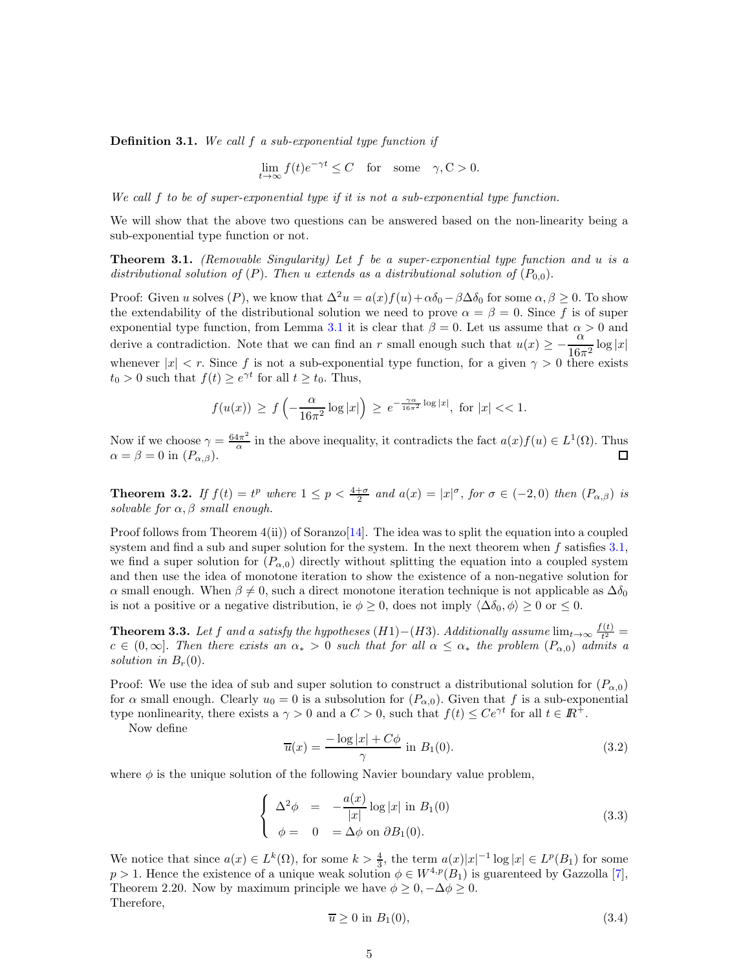Definition 3.1. *We call* f *a sub-exponential type function if*

$$
\lim_{t \to \infty} f(t)e^{-\gamma t} \le C \quad \text{for} \quad \text{some} \quad \gamma, C > 0.
$$

*We call* f *to be of super-exponential type if it is not a sub-exponential type function.*

We will show that the above two questions can be answered based on the non-linearity being a sub-exponential type function or not.

Theorem 3.1. *(Removable Singularity) Let* f *be a super-exponential type function and* u *is a distributional solution of*  $(P)$ . *Then* u *extends as a distributional solution of*  $(P_{0,0})$ .

Proof: Given u solves (P), we know that  $\Delta^2 u = a(x)f(u) + \alpha \delta_0 - \beta \Delta \delta_0$  for some  $\alpha, \beta \ge 0$ . To show the extendability of the distributional solution we need to prove  $\alpha = \beta = 0$ . Since f is of super exponential type function, from Lemma 3.1 it is clear that  $\beta = 0$ . Let us assume that  $\alpha > 0$  and derive a contradiction. Note that we can find an r small enough such that  $u(x) \ge -\frac{\alpha}{16}$  $\frac{c}{16\pi^2}\log|x|$ whenever  $|x| < r$ . Since f is not a sub-exponential type function, for a given  $\gamma > 0$  there exists  $t_0 > 0$  such that  $f(t) \ge e^{\gamma t}$  for all  $t \ge t_0$ . Thus,

$$
f(u(x)) \ge f\left(-\frac{\alpha}{16\pi^2}\log|x|\right) \ge e^{-\frac{\gamma\alpha}{16\pi^2}\log|x|}, \text{ for } |x| << 1.
$$

Now if we choose  $\gamma = \frac{64\pi^2}{\alpha}$  $\frac{4\pi^2}{\alpha}$  in the above inequality, it contradicts the fact  $a(x)f(u) \in L^1(\Omega)$ . Thus  $\alpha = \beta = 0$  in  $(P_{\alpha,\beta})$ .

**Theorem 3.2.** *If*  $f(t) = t^p$  *where*  $1 \leq p < \frac{4+\sigma}{2}$  *and*  $a(x) = |x|^{\sigma}$ , for  $\sigma \in (-2,0)$  *then*  $(P_{\alpha,\beta})$  *is solvable for*  $\alpha$ ,  $\beta$  *small enough.* 

Proof follows from Theorem  $4(ii)$  of Soranzo $[14]$ . The idea was to split the equation into a coupled system and find a sub and super solution for the system. In the next theorem when  $f$  satisfies  $3.1$ , we find a super solution for  $(P_{\alpha,0})$  directly without splitting the equation into a coupled system and then use the idea of monotone iteration to show the existence of a non-negative solution for α small enough. When  $\beta \neq 0$ , such a direct monotone iteration technique is not applicable as  $\Delta \delta_0$ is not a positive or a negative distribution, ie  $\phi \geq 0$ , does not imply  $\langle \Delta \delta_0, \phi \rangle \geq 0$  or  $\leq 0$ .

**Theorem 3.3.** Let f and a satisfy the hypotheses (H1)–(H3). Additionally assume  $\lim_{t\to\infty} \frac{f(t)}{t^2}$  $\frac{(t)}{t^2} =$  $c \in (0,\infty]$ . Then there exists an  $\alpha_* > 0$  such that for all  $\alpha \leq \alpha_*$  the problem  $(P_{\alpha,0})$  admits a *solution in*  $B_r(0)$ .

Proof: We use the idea of sub and super solution to construct a distributional solution for  $(P_{\alpha,0})$ for  $\alpha$  small enough. Clearly  $u_0 = 0$  is a subsolution for  $(P_{\alpha,0})$ . Given that f is a sub-exponential type nonlinearity, there exists a  $\gamma > 0$  and a  $C > 0$ , such that  $f(t) \leq Ce^{\gamma t}$  for all  $t \in \mathbb{R}^+$ .

Now define

$$
\overline{u}(x) = \frac{-\log|x| + C\phi}{\gamma}
$$
 in  $B_1(0)$ . (3.2)

where  $\phi$  is the unique solution of the following Navier boundary value problem,

$$
\begin{cases}\n\Delta^2 \phi = -\frac{a(x)}{|x|} \log |x| \text{ in } B_1(0) \\
\phi = 0 = \Delta \phi \text{ on } \partial B_1(0).\n\end{cases}
$$
\n(3.3)

We notice that since  $a(x) \in L^k(\Omega)$ , for some  $k > \frac{4}{3}$ , the term  $a(x)|x|^{-1} \log |x| \in L^p(B_1)$  for some  $p > 1$ . Hence the existence of a unique weak solution  $\phi \in W^{4,p}(B_1)$  is guarenteed by Gazzolla [7], Theorem 2.20. Now by maximum principle we have  $\phi \geq 0, -\Delta \phi \geq 0$ . Therefore,

$$
\overline{u} \ge 0 \text{ in } B_1(0),\tag{3.4}
$$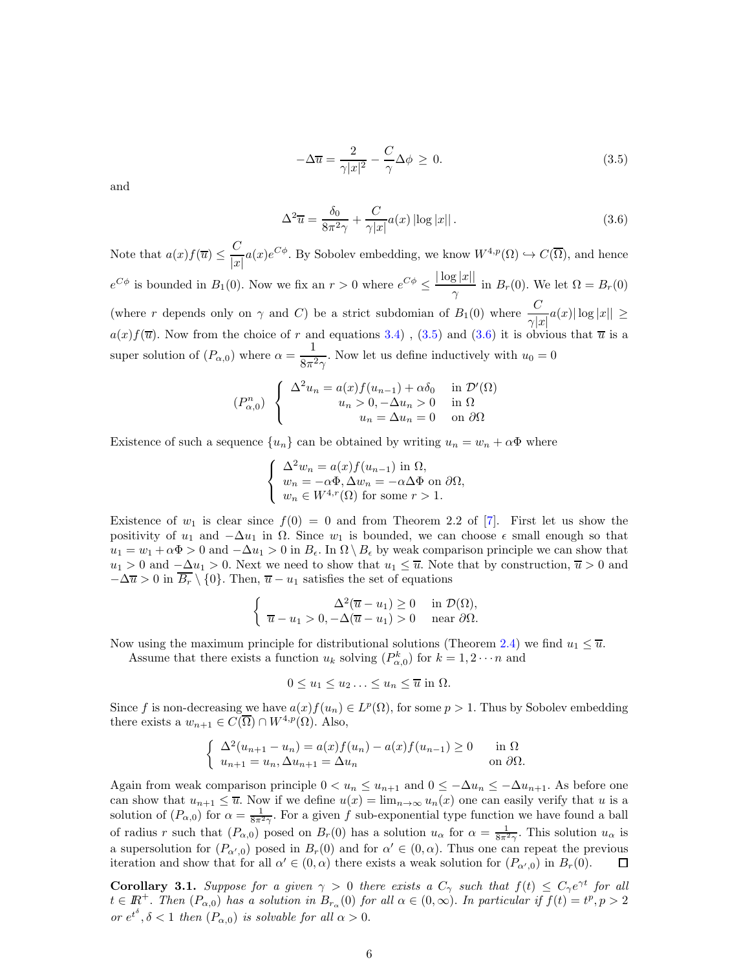$$
-\Delta \overline{u} = \frac{2}{\gamma |x|^2} - \frac{C}{\gamma} \Delta \phi \ge 0.
$$
\n(3.5)

and

$$
\Delta^2 \overline{u} = \frac{\delta_0}{8\pi^2 \gamma} + \frac{C}{\gamma |x|} a(x) \left| \log |x| \right|.
$$
 (3.6)

Note that  $a(x)f(\overline{u}) \leq \frac{C}{\overline{u}}$  $\frac{C}{|x|}a(x)e^{C\phi}$ . By Sobolev embedding, we know  $W^{4,p}(\Omega) \hookrightarrow C(\overline{\Omega})$ , and hence  $e^{C\phi}$  is bounded in  $B_1(0)$ . Now we fix an  $r > 0$  where  $e^{C\phi} \leq \frac{|\log |x||}{\log |x||}$  $\frac{S^{(m)}\Pi}{\gamma}$  in  $B_r(0)$ . We let  $\Omega = B_r(0)$ (where r depends only on  $\gamma$  and C) be a strict subdomian of  $B_1(0)$  where  $\frac{C}{\gamma|x|}a(x)|\log|x|| \geq$  $a(x)f(\overline{u})$ . Now from the choice of r and equations 3.4), (3.5) and (3.6) it is obvious that  $\overline{u}$  is a super solution of  $(P_{\alpha,0})$  where  $\alpha = \frac{1}{2\pi\alpha}$  $\frac{1}{8\pi^2\gamma}$ . Now let us define inductively with  $u_0 = 0$ 

$$
(P_{\alpha,0}^n) \begin{cases} \Delta^2 u_n = a(x) f(u_{n-1}) + \alpha \delta_0 & \text{in } \mathcal{D}'(\Omega) \\ u_n > 0, -\Delta u_n > 0 & \text{in } \Omega \\ u_n = \Delta u_n = 0 & \text{on } \partial\Omega \end{cases}
$$

Existence of such a sequence  $\{u_n\}$  can be obtained by writing  $u_n = w_n + \alpha \Phi$  where

$$
\begin{cases}\n\Delta^2 w_n = a(x) f(u_{n-1}) \text{ in } \Omega, \\
w_n = -\alpha \Phi, \Delta w_n = -\alpha \Delta \Phi \text{ on } \partial \Omega, \\
w_n \in W^{4,r}(\Omega) \text{ for some } r > 1.\n\end{cases}
$$

Existence of  $w_1$  is clear since  $f(0) = 0$  and from Theorem 2.2 of [7]. First let us show the positivity of  $u_1$  and  $-\Delta u_1$  in  $\Omega$ . Since  $w_1$  is bounded, we can choose  $\epsilon$  small enough so that  $u_1 = w_1 + \alpha \Phi > 0$  and  $-\Delta u_1 > 0$  in  $B_{\epsilon}$ . In  $\Omega \setminus B_{\epsilon}$  by weak comparison principle we can show that  $u_1 > 0$  and  $-\Delta u_1 > 0$ . Next we need to show that  $u_1 \leq \overline{u}$ . Note that by construction,  $\overline{u} > 0$  and  $-\Delta \overline{u} > 0$  in  $\overline{B_r} \setminus \{0\}$ . Then,  $\overline{u} - u_1$  satisfies the set of equations

$$
\begin{cases}\n\Delta^2(\overline{u}-u_1) \ge 0 & \text{in } \mathcal{D}(\Omega), \\
\overline{u}-u_1 > 0, -\Delta(\overline{u}-u_1) > 0 & \text{near } \partial\Omega.\n\end{cases}
$$

Now using the maximum principle for distributional solutions (Theorem 2.4) we find  $u_1 \leq \overline{u}$ .

Assume that there exists a function  $u_k$  solving  $(P_{\alpha,0}^k)$  for  $k=1,2\cdots n$  and

$$
0 \le u_1 \le u_2 \ldots \le u_n \le \overline{u} \text{ in } \Omega.
$$

Since f is non-decreasing we have  $a(x)f(u_n) \in L^p(\Omega)$ , for some  $p > 1$ . Thus by Sobolev embedding there exists a  $w_{n+1} \in C(\overline{\Omega}) \cap W^{4,p}(\Omega)$ . Also,

$$
\begin{cases} \Delta^2 (u_{n+1} - u_n) = a(x) f(u_n) - a(x) f(u_{n-1}) \ge 0 & \text{in } \Omega \\ u_{n+1} = u_n, \Delta u_{n+1} = \Delta u_n & \text{on } \partial \Omega. \end{cases}
$$

Again from weak comparison principle  $0 < u_n \leq u_{n+1}$  and  $0 \leq -\Delta u_n \leq -\Delta u_{n+1}$ . As before one can show that  $u_{n+1} \leq \overline{u}$ . Now if we define  $u(x) = \lim_{n \to \infty} u_n(x)$  one can easily verify that u is a solution of  $(P_{\alpha,0})$  for  $\alpha = \frac{1}{8\pi^2\gamma}$ . For a given f sub-exponential type function we have found a ball of radius r such that  $(P_{\alpha,0})$  posed on  $B_r(0)$  has a solution  $u_\alpha$  for  $\alpha = \frac{1}{8\pi^2\gamma}$ . This solution  $u_\alpha$  is a supersolution for  $(P_{\alpha',0})$  posed in  $B_r(0)$  and for  $\alpha' \in (0,\alpha)$ . Thus one can repeat the previous iteration and show that for all  $\alpha' \in (0, \alpha)$  there exists a weak solution for  $(P_{\alpha',0})$  in  $B_r(0)$ .  $\Box$ 

**Corollary 3.1.** Suppose for a given  $\gamma > 0$  there exists a  $C_{\gamma}$  such that  $f(t) \leq C_{\gamma}e^{\gamma t}$  for all  $t \in \mathbb{R}^+$ . Then  $(P_{\alpha,0})$  has a solution in  $B_{r_\alpha}(0)$  for all  $\alpha \in (0,\infty)$ . In particular if  $f(t) = t^p, p > 2$ *or*  $e^{t^{\delta}}, \delta < 1$  *then*  $(P_{\alpha,0})$  *is solvable for all*  $\alpha > 0$ *.*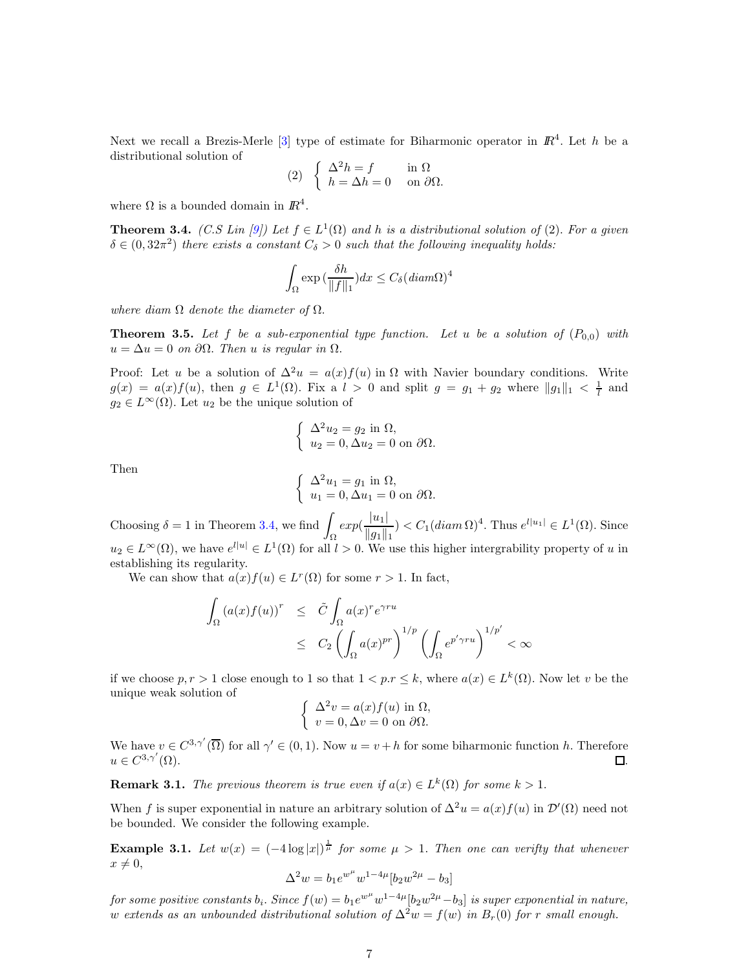Next we recall a Brezis-Merle  $[3]$  type of estimate for Biharmonic operator in  $\mathbb{R}^4$ . Let h be a distributional solution of

(2) 
$$
\begin{cases} \Delta^2 h = f & \text{in } \Omega \\ h = \Delta h = 0 & \text{on } \partial \Omega. \end{cases}
$$

where  $\Omega$  is a bounded domain in  $\mathbb{R}^4$ .

**Theorem 3.4.** *(C.S Lin [9])* Let  $f \in L^1(\Omega)$  and h is a distributional solution of (2). For a given  $\delta \in (0, 32\pi^2)$  *there exists a constant*  $C_{\delta} > 0$  *such that the following inequality holds:* 

$$
\int_{\Omega} \exp\left(\frac{\delta h}{\|f\|_1}\right) dx \le C_{\delta} (diam \Omega)^4
$$

*where diam* Ω *denote the diameter of* Ω.

**Theorem 3.5.** Let f be a sub-exponential type function. Let u be a solution of  $(P_{0,0})$  with  $u = \Delta u = 0$  *on*  $\partial \Omega$ . Then *u is regular in*  $\Omega$ .

Proof: Let u be a solution of  $\Delta^2 u = a(x) f(u)$  in  $\Omega$  with Navier boundary conditions. Write  $g(x) = a(x)f(u)$ , then  $g \in L^1(\Omega)$ . Fix a  $l > 0$  and split  $g = g_1 + g_2$  where  $||g_1||_1 < \frac{1}{l}$  and  $g_2 \in L^{\infty}(\Omega)$ . Let  $u_2$  be the unique solution of

$$
\begin{cases}\n\Delta^2 u_2 = g_2 \text{ in } \Omega, \\
u_2 = 0, \Delta u_2 = 0 \text{ on } \partial \Omega.\n\end{cases}
$$

Then

$$
\begin{cases} \Delta^2 u_1 = g_1 \text{ in } \Omega, \\ u_1 = 0, \Delta u_1 = 0 \text{ on } \partial \Omega. \end{cases}
$$

Choosing  $\delta = 1$  in Theorem 3.4, we find Ω  $exp(\frac{|u_1|}{||u_1||})$  $\frac{|u_1|}{\|g_1\|_1}$   $\leq C_1(diam \Omega)^4$ . Thus  $e^{l|u_1|} \in L^1(\Omega)$ . Since  $u_2 \in L^{\infty}(\Omega)$ , we have  $e^{l|u|} \in L^1(\Omega)$  for all  $l > 0$ . We use this higher intergrability property of u in establishing its regularity.

We can show that  $a(x) f(u) \in L^r(\Omega)$  for some  $r > 1$ . In fact,

$$
\int_{\Omega} (a(x)f(u))^{r} \leq \tilde{C} \int_{\Omega} a(x)^{r} e^{\gamma ru} \n\leq C_{2} \left( \int_{\Omega} a(x)^{pr} \right)^{1/p} \left( \int_{\Omega} e^{p' \gamma ru} \right)^{1/p'} < \infty
$$

if we choose  $p, r > 1$  close enough to 1 so that  $1 < p.r \leq k$ , where  $a(x) \in L^k(\Omega)$ . Now let v be the unique weak solution of

$$
\begin{cases}\n\Delta^2 v = a(x)f(u) \text{ in } \Omega, \\
v = 0, \Delta v = 0 \text{ on } \partial\Omega.\n\end{cases}
$$

We have  $v \in C^{3,\gamma'}(\overline{\Omega})$  for all  $\gamma' \in (0,1)$ . Now  $u = v + h$  for some biharmonic function h. Therefore  $u \in C^{3,\gamma'}$  $(\Omega)$ .  $\qquad \qquad \Box$ 

**Remark 3.1.** *The previous theorem is true even if*  $a(x) \in L^k(\Omega)$  *for some*  $k > 1$ *.* 

When f is super exponential in nature an arbitrary solution of  $\Delta^2 u = a(x) f(u)$  in  $\mathcal{D}'(\Omega)$  need not be bounded. We consider the following example.

**Example 3.1.** Let  $w(x) = (-4\log|x|)^{\frac{1}{\mu}}$  for some  $\mu > 1$ . Then one can verifty that whenever  $x \neq 0$ ,

$$
\Delta^2 w=b_1 e^{w^\mu} w^{1-4\mu} [b_2 w^{2\mu}-b_3]
$$

 $for some positive constants b_i. Since f(w) = b_1 e^{w^{\mu}} w^{1-4\mu} [b_2 w^{2\mu} - b_3]$  *is super exponential in nature,* w extends as an unbounded distributional solution of  $\Delta^2 w = f(w)$  in  $B_r(0)$  for r small enough.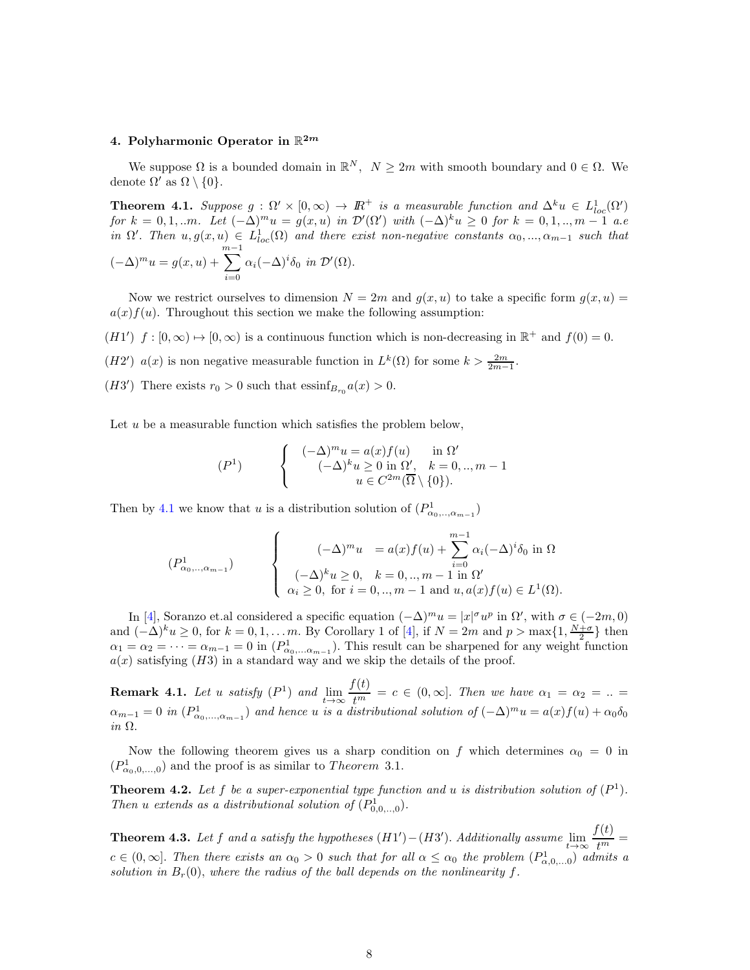# 4. Polyharmonic Operator in  $\mathbb{R}^{2m}$

We suppose  $\Omega$  is a bounded domain in  $\mathbb{R}^N$ ,  $N \geq 2m$  with smooth boundary and  $0 \in \Omega$ . We denote  $\Omega'$  as  $\Omega \setminus \{0\}.$ 

**Theorem 4.1.** Suppose  $g : \Omega' \times [0, \infty) \to \mathbb{R}^+$  is a measurable function and  $\Delta^k u \in L^1_{loc}(\Omega')$  $for \, k = 0, 1, \ldots m$ . Let  $(-\Delta)^m u = g(x, u)$  *in*  $\mathcal{D}'(\Omega')$  *with*  $(-\Delta)^k u \geq 0$  *for*  $k = 0, 1, \ldots, m - 1$  *a.e in*  $\Omega'$ . *Then*  $u, g(x, u) \in L^1_{loc}(\Omega)$  *and there exist non-negative constants*  $\alpha_0, ..., \alpha_{m-1}$  *such that*  $(-\Delta)^m u = g(x, u) +$  $\sum^{m-1}$  $i=0$  $\alpha_i(-\Delta)^i\delta_0$  *in*  $\mathcal{D}'(\Omega)$ .

Now we restrict ourselves to dimension  $N = 2m$  and  $g(x, u)$  to take a specific form  $g(x, u)$  $a(x) f(u)$ . Throughout this section we make the following assumption:

 $(H1')$   $f: [0, \infty) \mapsto [0, \infty)$  is a continuous function which is non-decreasing in  $\mathbb{R}^+$  and  $f(0) = 0$ .

(H2')  $a(x)$  is non negative measurable function in  $L^k(\Omega)$  for some  $k > \frac{2m}{2m-1}$ .

(H3') There exists  $r_0 > 0$  such that  $\text{essinf}_{B_{r_0}} a(x) > 0$ .

Let  $u$  be a measurable function which satisfies the problem below,

$$
(P1) \qquad \begin{cases} & (-\Delta)^m u = a(x) f(u) \quad \text{in } \Omega' \\ & (-\Delta)^k u \ge 0 \text{ in } \Omega', \quad k = 0, \dots, m-1 \\ & u \in C^{2m}(\overline{\Omega} \setminus \{0\}). \end{cases}
$$

Then by 4.1 we know that u is a distribution solution of  $(P^1_{\alpha_0,\dots,\alpha_{m-1}})$ 

$$
(P^1_{\alpha_0,\dots,\alpha_{m-1}}) \qquad \begin{cases} (\text{-}\Delta)^m u &= a(x)f(u) + \sum_{i=0}^{m-1} \alpha_i (-\Delta)^i \delta_0 \text{ in } \Omega \\ (\text{-}\Delta)^k u \ge 0, & k = 0, \dots, m-1 \text{ in } \Omega' \\ \alpha_i \ge 0, \text{ for } i = 0, \dots, m-1 \text{ and } u, a(x)f(u) \in L^1(\Omega). \end{cases}
$$

In [4], Soranzo et.al considered a specific equation  $(-\Delta)^m u = |x|^{\sigma} u^p$  in  $\Omega'$ , with  $\sigma \in (-2m, 0)$ and  $(-\Delta)^k u \geq 0$ , for  $k = 0, 1, ..., m$ . By Corollary 1 of [4], if  $N = 2m$  and  $p > \max\{1, \frac{N+\sigma}{2}\}\$  then  $\alpha_1 = \alpha_2 = \cdots = \alpha_{m-1} = 0$  in  $(P^1_{\alpha_0,\ldots,\alpha_{m-1}})$ . This result can be sharpened for any weight function  $a(x)$  satisfying (H3) in a standard way and we skip the details of the proof.

 $\textbf{Remark 4.1.}$  *Let* u *satisfy*  $(P^1)$  *and*  $\lim_{t\to\infty}\frac{f(t)}{t^m}$  $t^{\overline{(c)}}$  = c  $\in$  (0,  $\infty$ ). *Then we have*  $\alpha_1 = \alpha_2 = ...$  $\alpha_{m-1}=0$  in  $(P^1_{\alpha_0,\dots,\alpha_{m-1}})$  and hence u is a distributional solution of  $(-\Delta)^mu=a(x)f(u)+\alpha_0\delta_0$ *in* Ω.

Now the following theorem gives us a sharp condition on f which determines  $\alpha_0 = 0$  in  $(P_{\alpha_0,0,\dots,0}^1)$  and the proof is as similar to *Theorem* 3.1.

**Theorem 4.2.** Let f be a super-exponential type function and u is distribution solution of  $(P<sup>1</sup>)$ . *Then u extends as a distributional solution of*  $(P_{0,0, \ldots,0}^1)$ *.* 

**Theorem 4.3.** Let f and a satisfy the hypotheses  $(H1') - (H3')$ . Additionally assume  $\lim_{t\to\infty} \frac{f(t)}{t^m}$  $\frac{v}{t^m} =$  $c \in (0,\infty]$ . Then there exists an  $\alpha_0 > 0$  such that for all  $\alpha \leq \alpha_0$  the problem  $(P^1_{\alpha,0,\dots,0})$  admits a *solution in*  $B_r(0)$ , where the radius of the ball depends on the nonlinearity f.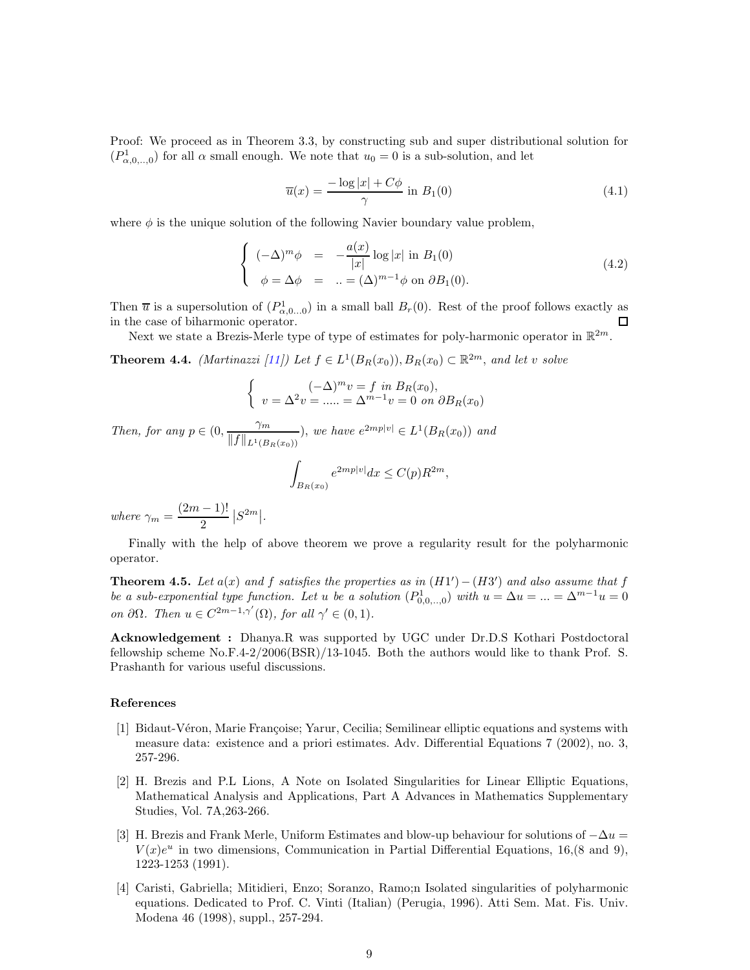Proof: We proceed as in Theorem 3.3, by constructing sub and super distributional solution for  $(P_{\alpha,0,..,0}^1)$  for all  $\alpha$  small enough. We note that  $u_0 = 0$  is a sub-solution, and let

$$
\overline{u}(x) = \frac{-\log|x| + C\phi}{\gamma}
$$
 in  $B_1(0)$  (4.1)

where  $\phi$  is the unique solution of the following Navier boundary value problem,

$$
\begin{cases}\n(-\Delta)^m \phi = -\frac{a(x)}{|x|} \log |x| \text{ in } B_1(0) \\
\phi = \Delta \phi = ... = (\Delta)^{m-1} \phi \text{ on } \partial B_1(0).\n\end{cases}
$$
\n(4.2)

Then  $\bar{u}$  is a supersolution of  $(P_{\alpha,0...0}^1)$  in a small ball  $B_r(0)$ . Rest of the proof follows exactly as in the case of biharmonic operator. □

Next we state a Brezis-Merle type of type of estimates for poly-harmonic operator in  $\mathbb{R}^{2m}$ .

**Theorem 4.4.** *(Martinazzi [11])* Let  $f \in L^1(B_R(x_0)), B_R(x_0) \subset \mathbb{R}^{2m}$ , and let v solve

$$
\begin{cases}\n(-\Delta)^m v = f \text{ in } B_R(x_0), \\
v = \Delta^2 v = \dots = \Delta^{m-1} v = 0 \text{ on } \partial B_R(x_0)\n\end{cases}
$$

*Then, for any*  $p \in (0, \frac{\gamma_m}{\|\mathbf{f}\|})$  $\frac{m}{\|f\|_{L^1(B_R(x_0))}},$  we have  $e^{2mp|v|} \in L^1(B_R(x_0))$  and Z  $B_R(x_0)$  $e^{2mp|v|}dx \leq C(p)R^{2m},$ 

*where*  $\gamma_m = \frac{(2m-1)!}{2}$  $\frac{(-1)^{1}}{2}$   $|S^{2m}|$ .

Finally with the help of above theorem we prove a regularity result for the polyharmonic operator.

**Theorem 4.5.** Let  $a(x)$  and f satisfies the properties as in  $(H1') - (H3')$  and also assume that f *be a sub-exponential type function. Let* u *be a solution*  $(P_{0,0, \ldots, 0}^1)$  with  $u = \Delta u = ... = \Delta^{m-1}u = 0$ *on*  $\partial\Omega$ *. Then*  $u \in C^{2m-1,\gamma'}(\Omega)$ *, for all*  $\gamma' \in (0,1)$ *.* 

Acknowledgement : Dhanya.R was supported by UGC under Dr.D.S Kothari Postdoctoral fellowship scheme No.F.4-2/2006(BSR)/13-1045. Both the authors would like to thank Prof. S. Prashanth for various useful discussions.

#### References

- [1] Bidaut-Véron, Marie Françoise; Yarur, Cecilia; Semilinear elliptic equations and systems with measure data: existence and a priori estimates. Adv. Differential Equations 7 (2002), no. 3, 257-296.
- [2] H. Brezis and P.L Lions, A Note on Isolated Singularities for Linear Elliptic Equations, Mathematical Analysis and Applications, Part A Advances in Mathematics Supplementary Studies, Vol. 7A,263-266.
- [3] H. Brezis and Frank Merle, Uniform Estimates and blow-up behaviour for solutions of  $-\Delta u$  $V(x)e^u$  in two dimensions, Communication in Partial Differential Equations, 16,(8 and 9), 1223-1253 (1991).
- [4] Caristi, Gabriella; Mitidieri, Enzo; Soranzo, Ramo;n Isolated singularities of polyharmonic equations. Dedicated to Prof. C. Vinti (Italian) (Perugia, 1996). Atti Sem. Mat. Fis. Univ. Modena 46 (1998), suppl., 257-294.